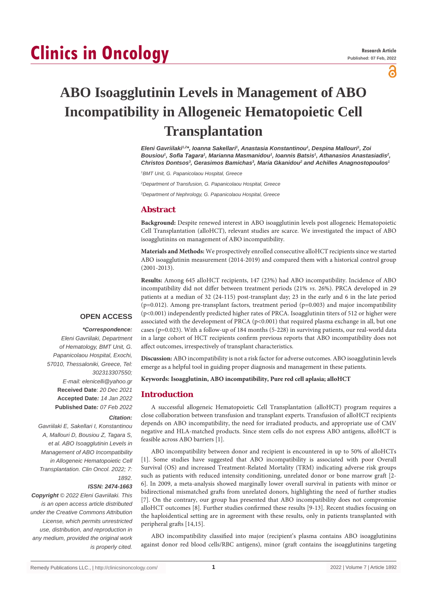# **Clinics in Oncology**

႕

# **ABO Isoagglutinin Levels in Management of ABO Incompatibility in Allogeneic Hematopoietic Cell Transplantation**

*Eleni Gavriilaki1,2\*, Ioanna Sakellari1 , Anastasia Konstantinou1 , Despina Mallouri1 , Zoi*  Bousiou<sup>1</sup>, Sofia Tagara<sup>1</sup>, Marianna Masmanidou<sup>1</sup>, Ioannis Batsis<sup>1</sup>, Athanasios Anastasiadis<sup>2</sup>, *Christos Dontsos3 , Gerasimos Bamichas3 , Maria Gkanidou2 and Achilles Anagnostopoulos1*

*1 BMT Unit, G. Papanicolaou Hospital, Greece*

*2 Department of Transfusion, G. Papanicolaou Hospital, Greece*

*3 Department of Nephrology, G. Papanicolaou Hospital, Greece*

# **Abstract**

**Background:** Despite renewed interest in ABO isoagglutinin levels post allogeneic Hematopoietic Cell Transplantation (alloHCT), relevant studies are scarce. We investigated the impact of ABO isoagglutinins on management of ABO incompatibility.

**Materials and Methods:** We prospectively enrolled consecutive alloHCT recipients since we started ABO isoagglutinin measurement (2014-2019) and compared them with a historical control group (2001-2013).

**Results:** Among 645 alloHCT recipients, 147 (23%) had ABO incompatibility. Incidence of ABO incompatibility did not differ between treatment periods (21% *vs*. 26%). PRCA developed in 29 patients at a median of 32 (24-115) post-transplant day; 23 in the early and 6 in the late period  $(p=0.012)$ . Among pre-transplant factors, treatment period  $(p=0.003)$  and major incompatibility (p<0.001) independently predicted higher rates of PRCA. Isoagglutinin titers of 512 or higher were associated with the development of PRCA (p<0.001) that required plasma exchange in all, but one cases (p=0.023). With a follow-up of 184 months (5-228) in surviving patients, our real-world data in a large cohort of HCT recipients confirm previous reports that ABO incompatibility does not affect outcomes, irrespectively of transplant characteristics.

**Discussion:** ABO incompatibility is not a risk factor for adverse outcomes. ABO isoagglutinin levels emerge as a helpful tool in guiding proper diagnosis and management in these patients.

**Keywords: Isoagglutinin, ABO incompatibility, Pure red cell aplasia; alloHCT**

# **Introduction**

A successful allogeneic Hematopoietic Cell Transplantation (alloHCT) program requires a close collaboration between transfusion and transplant experts. Transfusion of alloHCT recipients depends on ABO incompatibility, the need for irradiated products, and appropriate use of CMV negative and HLA-matched products. Since stem cells do not express ABO antigens, alloHCT is feasible across ABO barriers [1].

ABO incompatibility between donor and recipient is encountered in up to 50% of alloHCTs [1]. Some studies have suggested that ABO incompatibility is associated with poor Overall Survival (OS) and increased Treatment-Related Mortality (TRM) indicating adverse risk groups such as patients with reduced intensity conditioning, unrelated donor or bone marrow graft [2- 6]. In 2009, a meta-analysis showed marginally lower overall survival in patients with minor or bidirectional mismatched grafts from unrelated donors, highlighting the need of further studies [7]. On the contrary, our group has presented that ABO incompatibility does not compromise alloHCT outcomes [8]. Further studies confirmed these results [9-13]. Recent studies focusing on the haploidentical setting are in agreement with these results, only in patients transplanted with peripheral grafts [14,15].

ABO incompatibility classified into major (recipient's plasma contains ABO isoagglutinins against donor red blood cells/RBC antigens), minor (graft contains the isoagglutinins targeting

# **OPEN ACCESS**

#### *\*Correspondence:*

*Eleni Gavriilaki, Department of Hematology, BMT Unit, G. Papanicolaou Hospital, Exochi, 57010, Thessaloniki, Greece, Tel: 302313307550; E-mail: elenicelli@yahoo.gr* **Received Date**: *20 Dec 2021* **Accepted Date***: 14 Jan 2022* **Published Date***: 07 Feb 2022*

#### *Citation:*

*Gavriilaki E, Sakellari I, Konstantinou A, Mallouri D, Bousiou Z, Tagara S, et al. ABO Isoagglutinin Levels in Management of ABO Incompatibility in Allogeneic Hematopoietic Cell Transplantation. Clin Oncol. 2022; 7: 1892.*

#### *ISSN: 2474-1663*

*Copyright © 2022 Eleni Gavriilaki. This is an open access article distributed under the Creative Commons Attribution License, which permits unrestricted use, distribution, and reproduction in any medium, provided the original work is properly cited.*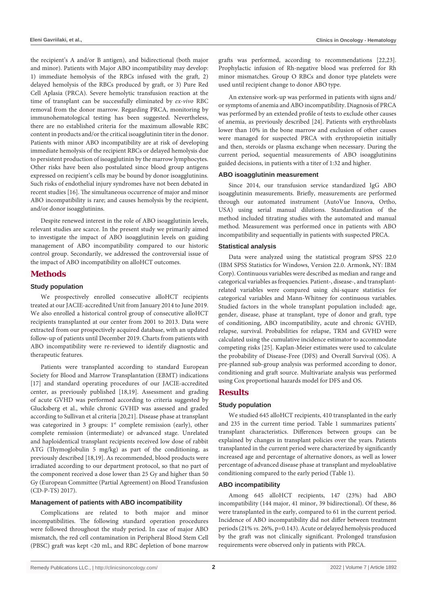the recipient's A and/or B antigen), and bidirectional (both major and minor). Patients with Major ABO incompatibility may develop: 1) immediate hemolysis of the RBCs infused with the graft, 2) delayed hemolysis of the RBCs produced by graft, or 3) Pure Red Cell Aplasia (PRCA). Severe hemolytic transfusion reaction at the time of transplant can be successfully eliminated by *ex-vivo* RBC removal from the donor marrow. Regarding PRCA, monitoring by immunohematological testing has been suggested. Nevertheless, there are no established criteria for the maximum allowable RBC content in products and/or the critical isoagglutinin titer in the donor. Patients with minor ABO incompatibility are at risk of developing immediate hemolysis of the recipient RBCs or delayed hemolysis due to persistent production of isoagglutinin by the marrow lymphocytes. Other risks have been also postulated since blood group antigens expressed on recipient's cells may be bound by donor isoagglutinins. Such risks of endothelial injury syndromes have not been debated in recent studies [16]. The simultaneous occurrence of major and minor ABO incompatibility is rare; and causes hemolysis by the recipient, and/or donor isoagglutinins.

Despite renewed interest in the role of ABO isoagglutinin levels, relevant studies are scarce. In the present study we primarily aimed to investigate the impact of ABO isoagglutinin levels on guiding management of ABO incompatibility compared to our historic control group. Secondarily, we addressed the controversial issue of the impact of ABO incompatibility on alloHCT outcomes.

# **Methods**

#### **Study population**

We prospectively enrolled consecutive alloHCT recipients treated at our JACIE-accredited Unit from January 2014 to June 2019. We also enrolled a historical control group of consecutive alloHCT recipients transplanted at our center from 2001 to 2013. Data were extracted from our prospectively acquired database, with an updated follow-up of patients until December 2019. Charts from patients with ABO incompatibility were re-reviewed to identify diagnostic and therapeutic features.

Patients were transplanted according to standard European Society for Blood and Marrow Transplantation (EBMT) indications [17] and standard operating procedures of our JACIE-accredited center, as previously published [18,19]. Assessment and grading of acute GVHD was performed according to criteria suggested by Glucksberg et al., while chronic GVHD was assessed and graded according to Sullivan et al criteria [20,21]. Disease phase at transplant was categorized in 3 groups:  $1<sup>st</sup>$  complete remission (early), other complete remission (intermediate) or advanced stage. Unrelated and haploidentical transplant recipients received low dose of rabbit ATG (Thymoglobulin 5 mg/kg) as part of the conditioning, as previously described [18,19]. As recommended, blood products were irradiated according to our department protocol, so that no part of the component received a dose lower than 25 Gy and higher than 50 Gy (European Committee (Partial Agreement) on Blood Transfusion (CD-P-TS) 2017).

#### **Management of patients with ABO incompatibility**

Complications are related to both major and minor incompatibilities. The following standard operation procedures were followed throughout the study period. In case of major ABO mismatch, the red cell contamination in Peripheral Blood Stem Cell (PBSC) graft was kept <20 mL, and RBC depletion of bone marrow grafts was performed, according to recommendations [22,23]. Prophylactic infusion of Rh-negative blood was preferred for Rh minor mismatches. Group O RBCs and donor type platelets were used until recipient change to donor ABO type.

An extensive work-up was performed in patients with signs and/ or symptoms of anemia and ABO incompatibility. Diagnosis of PRCA was performed by an extended profile of tests to exclude other causes of anemia, as previously described [24]. Patients with erythroblasts lower than 10% in the bone marrow and exclusion of other causes were managed for suspected PRCA with erythropoietin initially and then, steroids or plasma exchange when necessary. During the current period, sequential measurements of ABO isoagglutinins guided decisions, in patients with a titer of 1:32 and higher.

#### **ABO isoagglutinin measurement**

Since 2014, our transfusion service standardized IgG ABO isoagglutinin measurements. Briefly, measurements are performed through our automated instrument (AutoVue Innova, Ortho, USA) using serial manual dilutions. Standardization of the method included titrating studies with the automated and manual method. Measurement was performed once in patients with ABO incompatibility and sequentially in patients with suspected PRCA.

#### **Statistical analysis**

Data were analyzed using the statistical program SPSS 22.0 (IBM SPSS Statistics for Windows, Version 22.0. Armonk, NY: IBM Corp). Continuous variables were described as median and range and categorical variables as frequencies. Patient-, disease-, and transplantrelated variables were compared using chi-square statistics for categorical variables and Mann-Whitney for continuous variables. Studied factors in the whole transplant population included: age, gender, disease, phase at transplant, type of donor and graft, type of conditioning, ABO incompatibility, acute and chronic GVHD, relapse, survival. Probabilities for relapse, TRM and GVHD were calculated using the cumulative incidence estimator to accommodate competing risks [25]. Kaplan-Meier estimates were used to calculate the probability of Disease-Free (DFS) and Overall Survival (OS). A pre-planned sub-group analysis was performed according to donor, conditioning and graft source. Multivariate analysis was performed using Cox proportional hazards model for DFS and OS.

# **Results**

# **Study population**

We studied 645 alloHCT recipients, 410 transplanted in the early and 235 in the current time period. Table 1 summarizes patients' transplant characteristics. Differences between groups can be explained by changes in transplant policies over the years. Patients transplanted in the current period were characterized by significantly increased age and percentage of alternative donors, as well as lower percentage of advanced disease phase at transplant and myeloablative conditioning compared to the early period (Table 1).

#### **ABO incompatibility**

Among 645 alloHCT recipients, 147 (23%) had ABO incompatibility (144 major, 41 minor, 39 bidirectional). Of these, 86 were transplanted in the early, compared to 61 in the current period. Incidence of ABO incompatibility did not differ between treatment periods (21% *vs.* 26%, p=0.143). Acute or delayed hemolysis produced by the graft was not clinically significant. Prolonged transfusion requirements were observed only in patients with PRCA.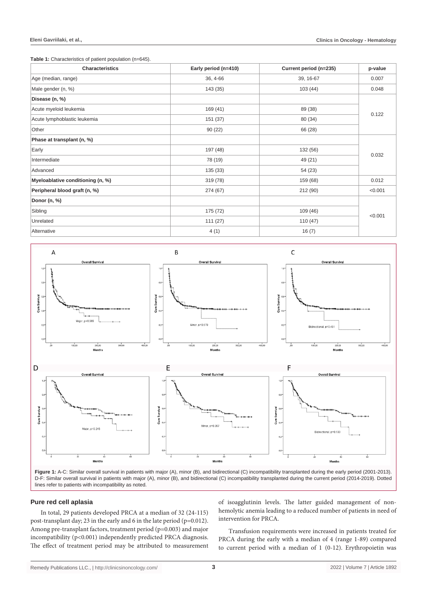**Table 1:** Characteristics of patient population (n=645).

| <b>Characteristics</b>            | Early period (n=410) | Current period (n=235) | p-value |  |  |
|-----------------------------------|----------------------|------------------------|---------|--|--|
| Age (median, range)               | 36, 4-66             | 39, 16-67              | 0.007   |  |  |
| Male gender (n, %)                | 143 (35)             | 103(44)                | 0.048   |  |  |
| Disease (n, %)                    |                      |                        |         |  |  |
| Acute myeloid leukemia            | 169 (41)             | 89 (38)                | 0.122   |  |  |
| Acute lymphoblastic leukemia      | 151 (37)             | 80 (34)                |         |  |  |
| Other                             | 90(22)               | 66 (28)                |         |  |  |
| Phase at transplant (n, %)        |                      |                        |         |  |  |
| Early                             | 197 (48)             | 132 (56)               | 0.032   |  |  |
| Intermediate                      | 78 (19)              | 49 (21)                |         |  |  |
| Advanced                          | 135 (33)             | 54 (23)                |         |  |  |
| Myeloablative conditioning (n, %) | 319 (78)             | 159 (68)               | 0.012   |  |  |
| Peripheral blood graft (n, %)     | 274 (67)             | 212 (90)               | < 0.001 |  |  |
| Donor (n, %)                      |                      |                        |         |  |  |
| Sibling                           | 175 (72)             | 109 (46)               | < 0.001 |  |  |
| Unrelated                         | 111(27)              | 110(47)                |         |  |  |
| Alternative                       | 4(1)                 | 16(7)                  |         |  |  |



D-F: Similar overall survival in patients with major (A), minor (B), and bidirectional (C) incompatibility transplanted during the current period (2014-2019). Dotted lines refer to patients with incompatibility as noted.

# **Pure red cell aplasia**

In total, 29 patients developed PRCA at a median of 32 (24-115) post-transplant day; 23 in the early and 6 in the late period (p=0.012). Among pre-transplant factors, treatment period (p=0.003) and major incompatibility (p<0.001) independently predicted PRCA diagnosis. The effect of treatment period may be attributed to measurement of isoagglutinin levels. The latter guided management of nonhemolytic anemia leading to a reduced number of patients in need of intervention for PRCA.

Transfusion requirements were increased in patients treated for PRCA during the early with a median of 4 (range 1-89) compared to current period with a median of 1 (0-12). Erythropoietin was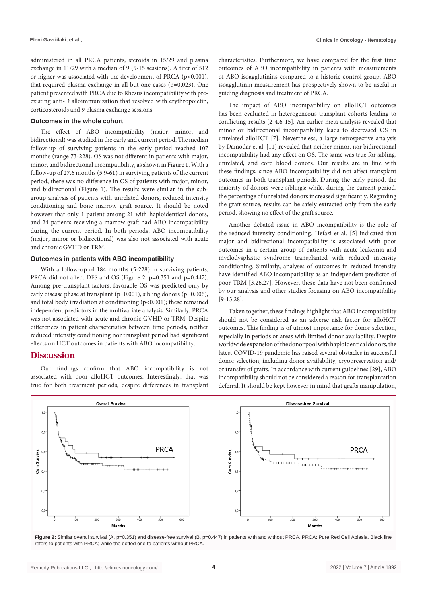administered in all PRCA patients, steroids in 15/29 and plasma exchange in 11/29 with a median of 9 (5-15 sessions). A titer of 512 or higher was associated with the development of PRCA (p<0.001), that required plasma exchange in all but one cases (p=0.023). One patient presented with PRCA due to Rhesus incompatibility with preexisting anti-D alloimmunization that resolved with erythropoietin, corticosteroids and 9 plasma exchange sessions.

# **Outcomes in the whole cohort**

The effect of ABO incompatibility (major, minor, and bidirectional) was studied in the early and current period. The median follow-up of surviving patients in the early period reached 107 months (range 73-228). OS was not different in patients with major, minor, and bidirectional incompatibility, as shown in Figure 1. With a follow-up of 27.6 months (5.9-61) in surviving patients of the current period, there was no difference in OS of patients with major, minor, and bidirectional (Figure 1). The results were similar in the subgroup analysis of patients with unrelated donors, reduced intensity conditioning and bone marrow graft source. It should be noted however that only 1 patient among 21 with haploidentical donors, and 24 patients receiving a marrow graft had ABO incompatibility during the current period. In both periods, ABO incompatibility (major, minor or bidirectional) was also not associated with acute and chronic GVHD or TRM.

#### **Outcomes in patients with ABO incompatibility**

With a follow-up of 184 months (5-228) in surviving patients, PRCA did not affect DFS and OS (Figure 2, p=0.351 and p=0.447). Among pre-transplant factors, favorable OS was predicted only by early disease phase at transplant (p=0.001), sibling donors (p=0.006), and total body irradiation at conditioning (p<0.001); these remained independent predictors in the multivariate analysis. Similarly, PRCA was not associated with acute and chronic GVHD or TRM. Despite differences in patient characteristics between time periods, neither reduced intensity conditioning nor transplant period had significant effects on HCT outcomes in patients with ABO incompatibility.

#### **Discussion**

Our findings confirm that ABO incompatibility is not associated with poor alloHCT outcomes. Interestingly, that was true for both treatment periods, despite differences in transplant characteristics. Furthermore, we have compared for the first time outcomes of ABO incompatibility in patients with measurements of ABO isoagglutinins compared to a historic control group. ABO isoagglutinin measurement has prospectively shown to be useful in guiding diagnosis and treatment of PRCA.

The impact of ABO incompatibility on alloHCT outcomes has been evaluated in heterogeneous transplant cohorts leading to conflicting results [2-4,6-15]. An earlier meta-analysis revealed that minor or bidirectional incompatibility leads to decreased OS in unrelated alloHCT [7]. Nevertheless, a large retrospective analysis by Damodar et al. [11] revealed that neither minor, nor bidirectional incompatibility had any effect on OS. The same was true for sibling, unrelated, and cord blood donors. Our results are in line with these findings, since ABO incompatibility did not affect transplant outcomes in both transplant periods. During the early period, the majority of donors were siblings; while, during the current period, the percentage of unrelated donors increased significantly. Regarding the graft source, results can be safely extracted only from the early period, showing no effect of the graft source.

Another debated issue in ABO incompatibility is the role of the reduced intensity conditioning. Hefazi et al. [5] indicated that major and bidirectional incompatibility is associated with poor outcomes in a certain group of patients with acute leukemia and myelodysplastic syndrome transplanted with reduced intensity conditioning. Similarly, analyses of outcomes in reduced intensity have identified ABO incompatibility as an independent predictor of poor TRM [3,26,27]. However, these data have not been confirmed by our analysis and other studies focusing on ABO incompatibility [9-13,28].

Taken together, these findings highlight that ABO incompatibility should not be considered as an adverse risk factor for alloHCT outcomes. This finding is of utmost importance for donor selection, especially in periods or areas with limited donor availability. Despite worldwide expansion of the donor pool with haploidentical donors, the latest COVID-19 pandemic has raised several obstacles in successful donor selection, including donor availability, cryopreservation and/ or transfer of grafts. In accordance with current guidelines [29], ABO incompatibility should not be considered a reason for transplantation deferral. It should be kept however in mind that grafts manipulation,



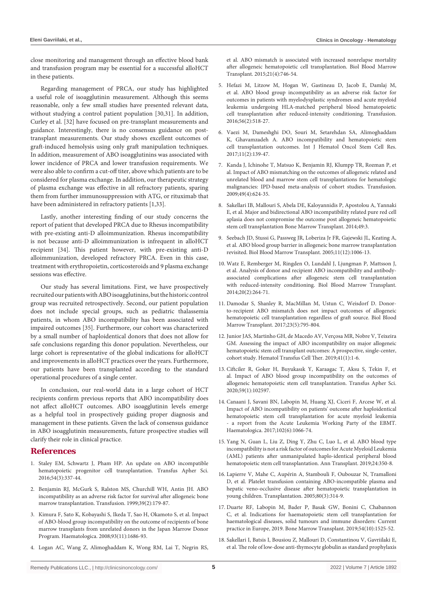close monitoring and management through an effective blood bank and transfusion program may be essential for a successful alloHCT in these patients.

Regarding management of PRCA, our study has highlighted a useful role of isoagglutinin measurement. Although this seems reasonable, only a few small studies have presented relevant data, without studying a control patient population [30,31]. In addition, Curley et al. [32] have focused on pre-transplant measurements and guidance. Interestingly, there is no consensus guidance on posttransplant measurements. Our study shows excellent outcomes of graft-induced hemolysis using only graft manipulation techniques. In addition, measurement of ABO isoagglutinins was associated with lower incidence of PRCA and lower transfusion requirements. We were also able to confirm a cut-off titer, above which patients are to be considered for plasma exchange. In addition, our therapeutic strategy of plasma exchange was effective in all refractory patients, sparing them from further immunosuppression with ATG, or rituximab that have been administered in refractory patients [1,33].

Lastly, another interesting finding of our study concerns the report of patient that developed PRCA due to Rhesus incompatibility with pre-existing anti-D alloimmunization. Rhesus incompatibility is not because anti-D alloimmunization is infrequent in alloHCT recipient [34]. This patient however, with pre-existing anti-D alloimmunization, developed refractory PRCA. Even in this case, treatment with erythropoietin, corticosteroids and 9 plasma exchange sessions was effective.

Our study has several limitations. First, we have prospectively recruited our patients with ABO isoagglutinins, but the historic control group was recruited retrospectively. Second, our patient population does not include special groups, such as pediatric thalassemia patients, in whom ABO incompatibility has been associated with impaired outcomes [35]. Furthermore, our cohort was characterized by a small number of haploidentical donors that does not allow for safe conclusions regarding this donor population. Nevertheless, our large cohort is representative of the global indications for alloHCT and improvements in alloHCT practices over the years. Furthermore, our patients have been transplanted according to the standard operational procedures of a single center.

In conclusion, our real-world data in a large cohort of HCT recipients confirm previous reports that ABO incompatibility does not affect alloHCT outcomes. ABO isoagglutinin levels emerge as a helpful tool in prospectively guiding proper diagnosis and management in these patients. Given the lack of consensus guidance in ABO isoagglutinin measurements, future prospective studies will clarify their role in clinical practice.

# **References**

- 1. [Staley EM, Schwartz J, Pham HP. An update on ABO incompatible](https://pubmed.ncbi.nlm.nih.gov/27211814/)  [hematopoietic progenitor cell transplantation. Transfus Apher Sci.](https://pubmed.ncbi.nlm.nih.gov/27211814/)  [2016;54\(3\):337-44.](https://pubmed.ncbi.nlm.nih.gov/27211814/)
- 2. [Benjamin RJ, McGurk S, Ralston MS, Churchill WH, Antin JH. ABO](https://pubmed.ncbi.nlm.nih.gov/10037129/)  [incompatibility as an adverse risk factor for survival after allogeneic bone](https://pubmed.ncbi.nlm.nih.gov/10037129/)  [marrow transplantation. Transfusion. 1999;39\(2\):179-87.](https://pubmed.ncbi.nlm.nih.gov/10037129/)
- 3. [Kimura F, Sato K, Kobayashi S, Ikeda T, Sao H, Okamoto S, et al. Impact](https://pubmed.ncbi.nlm.nih.gov/18835834/)  [of ABO-blood group incompatibility on the outcome of recipients of bone](https://pubmed.ncbi.nlm.nih.gov/18835834/)  [marrow transplants from unrelated donors in the Japan Marrow Donor](https://pubmed.ncbi.nlm.nih.gov/18835834/)  [Program. Haematologica. 2008;93\(11\):1686-93.](https://pubmed.ncbi.nlm.nih.gov/18835834/)
- 4. [Logan AC, Wang Z, Alimoghaddam K, Wong RM, Lai T, Negrin RS,](https://pubmed.ncbi.nlm.nih.gov/25572032/)

[et al. ABO mismatch is associated with increased nonrelapse mortality](https://pubmed.ncbi.nlm.nih.gov/25572032/)  [after allogeneic hematopoietic cell transplantation. Biol Blood Marrow](https://pubmed.ncbi.nlm.nih.gov/25572032/)  [Transplant. 2015;21\(4\):746-54.](https://pubmed.ncbi.nlm.nih.gov/25572032/)

- 5. [Hefazi M, Litzow M, Hogan W, Gastineau D, Jacob E, Damlaj M,](https://pubmed.ncbi.nlm.nih.gov/26446051/)  [et al. ABO blood group incompatibility as an adverse risk factor for](https://pubmed.ncbi.nlm.nih.gov/26446051/)  [outcomes in patients with myelodysplastic syndromes and acute myeloid](https://pubmed.ncbi.nlm.nih.gov/26446051/)  [leukemia undergoing HLA-matched peripheral blood hematopoietic](https://pubmed.ncbi.nlm.nih.gov/26446051/)  [cell transplantation after reduced-intensity conditioning. Transfusion.](https://pubmed.ncbi.nlm.nih.gov/26446051/)  [2016;56\(2\):518-27.](https://pubmed.ncbi.nlm.nih.gov/26446051/)
- 6. [Vaezi M, Dameshghi DO, Souri M, Setarehdan SA, Alimoghaddam](https://pubmed.ncbi.nlm.nih.gov/28875009/)  [K, Ghavamzadeh A. ABO incompatibility and hematopoietic stem](https://pubmed.ncbi.nlm.nih.gov/28875009/)  [cell transplantation outcomes. Int J Hematol Oncol Stem Cell Res.](https://pubmed.ncbi.nlm.nih.gov/28875009/)  [2017;11\(2\):139-47.](https://pubmed.ncbi.nlm.nih.gov/28875009/)
- 7. [Kanda J, Ichinohe T, Matsuo K, Benjamin RJ, Klumpp TR, Rozman P, et](https://pubmed.ncbi.nlm.nih.gov/19170998/)  [al. Impact of ABO mismatching on the outcomes of allogeneic related and](https://pubmed.ncbi.nlm.nih.gov/19170998/)  [unrelated blood and marrow stem cell transplantations for hematologic](https://pubmed.ncbi.nlm.nih.gov/19170998/)  [malignancies: IPD-based meta-analysis of cohort studies. Transfusion.](https://pubmed.ncbi.nlm.nih.gov/19170998/)  [2009;49\(4\):624-35.](https://pubmed.ncbi.nlm.nih.gov/19170998/)
- 8. Sakellari IB, Mallouri S, Abela DE, Kaloyannidis P, Apostolou A, Yannaki E, et al. Major and bidirectional ABO incompatibility related pure red cell aplasia does not compromise the outcome post allogeneic hematopoietic stem cell transplantation Bone Marrow Transplant. 2014;49:3.
- 9. [Seebach JD, Stussi G, Passweg JR, Loberiza Jr FR, Gajewski JL, Keating A,](https://pubmed.ncbi.nlm.nih.gov/16338623/)  [et al. ABO blood group barrier in allogeneic bone marrow transplantation](https://pubmed.ncbi.nlm.nih.gov/16338623/)  [revisited. Biol Blood Marrow Transplant. 2005;11\(12\):1006-13.](https://pubmed.ncbi.nlm.nih.gov/16338623/)
- 10. [Watz E, Remberger M, Ringden O, Lundahl J, Ljungman P, Mattsson J,](https://pubmed.ncbi.nlm.nih.gov/24274982/)  [et al. Analysis of donor and recipient ABO incompatibility and antibody](https://pubmed.ncbi.nlm.nih.gov/24274982/)[associated complications after allogeneic stem cell transplantation](https://pubmed.ncbi.nlm.nih.gov/24274982/)  [with reduced-intensity conditioning. Biol Blood Marrow Transplant.](https://pubmed.ncbi.nlm.nih.gov/24274982/)  [2014;20\(2\):264-71.](https://pubmed.ncbi.nlm.nih.gov/24274982/)
- 11. [Damodar S, Shanley R, MacMillan M, Ustun C, Weisdorf D. Donor](https://pubmed.ncbi.nlm.nih.gov/28232088/)[to-recipient ABO mismatch does not impact outcomes of allogeneic](https://pubmed.ncbi.nlm.nih.gov/28232088/)  [hematopoietic cell transplantation regardless of graft source. Biol Blood](https://pubmed.ncbi.nlm.nih.gov/28232088/)  [Marrow Transplant. 2017;23\(5\):795-804.](https://pubmed.ncbi.nlm.nih.gov/28232088/)
- 12. [Junior JAS, Martinho GH, de Macedo AV, Verçosa MR, Nobre V, Teixeira](https://pubmed.ncbi.nlm.nih.gov/30793098/)  [GM. Assessing the impact of ABO incompatibility on major allogeneic](https://pubmed.ncbi.nlm.nih.gov/30793098/)  [hematopoietic stem cell transplant outcomes: A prospective, single-center,](https://pubmed.ncbi.nlm.nih.gov/30793098/)  [cohort study. Hematol Transfus Cell Ther. 2019;41\(1\):1-6.](https://pubmed.ncbi.nlm.nih.gov/30793098/)
- 13. [Ciftciler R, Goker H, Buyukasık Y, Karaagac T, Aksu S, Tekin F, et](https://pubmed.ncbi.nlm.nih.gov/31311753/)  [al. Impact of ABO blood group incompatibility on the outcomes of](https://pubmed.ncbi.nlm.nih.gov/31311753/)  [allogeneic hematopoietic stem cell transplantation. Transfus Apher Sci.](https://pubmed.ncbi.nlm.nih.gov/31311753/)  [2020;59\(1\):102597.](https://pubmed.ncbi.nlm.nih.gov/31311753/)
- 14. [Canaani J, Savani BN, Labopin M, Huang XJ, Ciceri F, Arcese W, et al.](https://pubmed.ncbi.nlm.nih.gov/28255020/)  [Impact of ABO incompatibility on patients' outcome after haploidentical](https://pubmed.ncbi.nlm.nih.gov/28255020/)  [hematopoietic stem cell transplantation for acute myeloid leukemia](https://pubmed.ncbi.nlm.nih.gov/28255020/)  a report from the Acute Leukemia Working Party of the EBMT. [Haematologica. 2017;102\(6\):1066-74.](https://pubmed.ncbi.nlm.nih.gov/28255020/)
- 15. [Yang N, Guan L, Liu Z, Ding Y, Zhu C, Luo L, et al. ABO blood type](https://pubmed.ncbi.nlm.nih.gov/31197126/)  [incompatibility is not a risk factor of outcomes for Acute Myeloid Leukemia](https://pubmed.ncbi.nlm.nih.gov/31197126/)  [\(AML\) patients after unmanipulated haplo-identical peripheral blood](https://pubmed.ncbi.nlm.nih.gov/31197126/)  [hematopoietic stem cell transplantation. Ann Transplant. 2019;24:350-8.](https://pubmed.ncbi.nlm.nih.gov/31197126/)
- 16. [Lapierre V, Mahe C, Aupérin A, Stambouli F, Oubouzar N, Tramalloni](https://pubmed.ncbi.nlm.nih.gov/16082325/)  [D, et al. Platelet transfusion containing ABO-incompatible plasma and](https://pubmed.ncbi.nlm.nih.gov/16082325/)  [hepatic veno-occlusive disease after hematopoietic transplantation in](https://pubmed.ncbi.nlm.nih.gov/16082325/)  [young children. Transplantation. 2005;80\(3\):314-9.](https://pubmed.ncbi.nlm.nih.gov/16082325/)
- 17. [Duarte RF, Labopin M, Bader P, Basak GW, Bonini C, Chabannon](https://pubmed.ncbi.nlm.nih.gov/30953028/)  [C, et al. Indications for haematopoietic stem cell transplantation for](https://pubmed.ncbi.nlm.nih.gov/30953028/)  [haematological diseases, solid tumours and immune disorders: Current](https://pubmed.ncbi.nlm.nih.gov/30953028/)  [practice in Europe, 2019. Bone Marrow Transplant. 2019;54\(10\):1525-52.](https://pubmed.ncbi.nlm.nih.gov/30953028/)
- 18. [Sakellari I, Batsis I, Bousiou Z, Mallouri D, Constantinou V, Gavriilaki E,](https://pubmed.ncbi.nlm.nih.gov/28716402/)  [et al. The role of low-dose anti-thymocyte globulin as standard prophylaxis](https://pubmed.ncbi.nlm.nih.gov/28716402/)